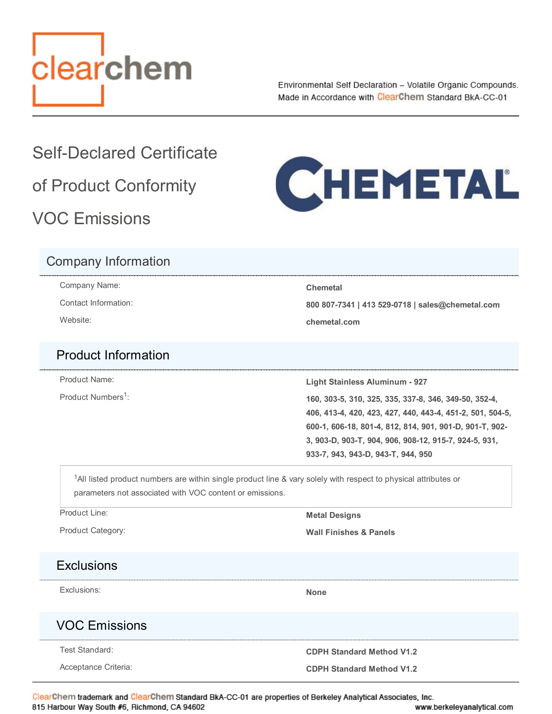<span id="page-0-0"></span>

Environmental Self Declaration - Volatile Organic Compounds. Made in Accordance with ClearChem Standard BkA-CC-01

# Self-Declared Certificate of Product Conformity

VOC Emissions



#### Company Information

Company Name: **Chemetal**

Contact Information: **800 807-7341 | 413 529-0718 | sales@chemetal.com**

Website: **chemetal.com**

#### Product Information

Product Numbers<sup>1</sup>:

Product Name: **Light Stainless Aluminum - 927**

Product Numbers : **160, 303-5, 310, 325, 335, 337-8, 346, 349-50, 352-4, 406, 413-4, 420, 423, 427, 440, 443-4, 451-2, 501, 504-5, 600-1, 606-18, 801-4, 812, 814, 901, 901-D, 901-T, 902- 3, 903-D, 903-T, 904, 906, 908-12, 915-7, 924-5, 931, 933-7, 943, 943-D, 943-T, 944, 950**

<sup>1</sup>All listed product numbers are within single product line & vary solely with respect to physical attributes or parameters not associated with VOC content or emissions.

Product Line: **Metal Designs** 

Product Category: **Wall Finishes & Panels**

## **Exclusions**

Exclusions: **None**

## VOC Emissions

Test Standard: **CDPH Standard Method V1.2**

Acceptance Criteria: **CDPH Standard Method V1.2 CDPH Standard Method V1.2** 

ClearChem trademark and ClearChem Standard BkA-CC-01 are properties of Berkeley Analytical Associates, Inc. 815 Harbour Way South #6, Richmond, CA 94602 www.berkeleyanalytical.com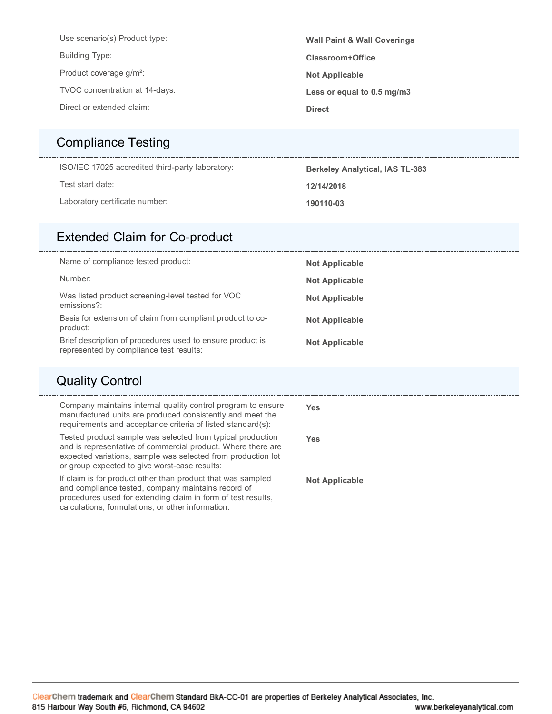| Use scenario(s) Product type:       | <b>Wall Paint &amp; Wall Coverings</b> |
|-------------------------------------|----------------------------------------|
| <b>Building Type:</b>               | Classroom+Office                       |
| Product coverage g/m <sup>2</sup> : | <b>Not Applicable</b>                  |
| TVOC concentration at 14-days:      | Less or equal to 0.5 mg/m3             |
| Direct or extended claim:           | <b>Direct</b>                          |
|                                     |                                        |

#### [Compliance Testing](#page-0-0)

ISO/IEC 17025 accredited third-party laboratory: **Berkeley Analytical, IAS TL-383** 

Test start date: **12/14/2018**

Laboratory certificate number: **190110-03**

#### [Extended Claim for Co-product](#page-0-0)

| Name of compliance tested product:                                                                   | <b>Not Applicable</b> |
|------------------------------------------------------------------------------------------------------|-----------------------|
| Number:                                                                                              | <b>Not Applicable</b> |
| Was listed product screening-level tested for VOC<br>emissions?:                                     | <b>Not Applicable</b> |
| Basis for extension of claim from compliant product to co-<br>product:                               | <b>Not Applicable</b> |
| Brief description of procedures used to ensure product is<br>represented by compliance test results: | <b>Not Applicable</b> |

#### [Quality Control](#page-0-0)

| Company maintains internal quality control program to ensure<br>manufactured units are produced consistently and meet the<br>requirements and acceptance criteria of listed standard(s):                                                    | Yes                   |
|---------------------------------------------------------------------------------------------------------------------------------------------------------------------------------------------------------------------------------------------|-----------------------|
| Tested product sample was selected from typical production<br>and is representative of commercial product. Where there are<br>expected variations, sample was selected from production lot<br>or group expected to give worst-case results: | Yes                   |
| If claim is for product other than product that was sampled<br>and compliance tested, company maintains record of<br>procedures used for extending claim in form of test results,<br>calculations, formulations, or other information:      | <b>Not Applicable</b> |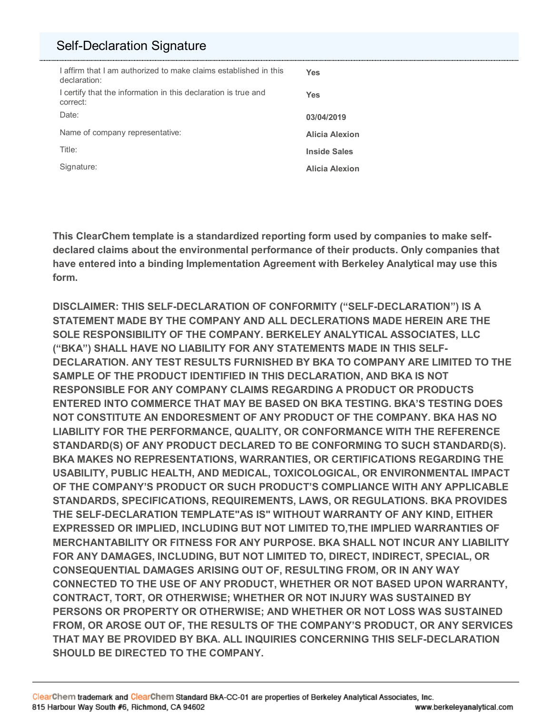#### [Self-Declaration Signature](#page-0-0)

| I affirm that I am authorized to make claims established in this<br>declaration: | Yes                   |
|----------------------------------------------------------------------------------|-----------------------|
| I certify that the information in this declaration is true and<br>correct:       | Yes                   |
| Date:                                                                            | 03/04/2019            |
| Name of company representative:                                                  | <b>Alicia Alexion</b> |
| Title:                                                                           | <b>Inside Sales</b>   |
| Signature:                                                                       | <b>Alicia Alexion</b> |

**This ClearChem template is a standardized reporting form used by companies to make selfdeclared claims about the environmental performance of their products. Only companies that have entered into a binding Implementation Agreement with Berkeley Analytical may use this form.** 

**DISCLAIMER: THIS SELF-DECLARATION OF CONFORMITY ("SELF-DECLARATION") IS A STATEMENT MADE BY THE COMPANY AND ALL DECLERATIONS MADE HEREIN ARE THE SOLE RESPONSIBILITY OF THE COMPANY. BERKELEY ANALYTICAL ASSOCIATES, LLC ("BKA") SHALL HAVE NO LIABILITY FOR ANY STATEMENTS MADE IN THIS SELF-DECLARATION. ANY TEST RESULTS FURNISHED BY BKA TO COMPANY ARE LIMITED TO THE SAMPLE OF THE PRODUCT IDENTIFIED IN THIS DECLARATION, AND BKA IS NOT RESPONSIBLE FOR ANY COMPANY CLAIMS REGARDING A PRODUCT OR PRODUCTS ENTERED INTO COMMERCE THAT MAY BE BASED ON BKA TESTING. BKA'S TESTING DOES NOT CONSTITUTE AN ENDORESMENT OF ANY PRODUCT OF THE COMPANY. BKA HAS NO LIABILITY FOR THE PERFORMANCE, QUALITY, OR CONFORMANCE WITH THE REFERENCE STANDARD(S) OF ANY PRODUCT DECLARED TO BE CONFORMING TO SUCH STANDARD(S). BKA MAKES NO REPRESENTATIONS, WARRANTIES, OR CERTIFICATIONS REGARDING THE USABILITY, PUBLIC HEALTH, AND MEDICAL, TOXICOLOGICAL, OR ENVIRONMENTAL IMPACT OF THE COMPANY'S PRODUCT OR SUCH PRODUCT'S COMPLIANCE WITH ANY APPLICABLE STANDARDS, SPECIFICATIONS, REQUIREMENTS, LAWS, OR REGULATIONS. BKA PROVIDES THE SELF-DECLARATION TEMPLATE"AS IS" WITHOUT WARRANTY OF ANY KIND, EITHER EXPRESSED OR IMPLIED, INCLUDING BUT NOT LIMITED TO,THE IMPLIED WARRANTIES OF MERCHANTABILITY OR FITNESS FOR ANY PURPOSE. BKA SHALL NOT INCUR ANY LIABILITY FOR ANY DAMAGES, INCLUDING, BUT NOT LIMITED TO, DIRECT, INDIRECT, SPECIAL, OR CONSEQUENTIAL DAMAGES ARISING OUT OF, RESULTING FROM, OR IN ANY WAY CONNECTED TO THE USE OF ANY PRODUCT, WHETHER OR NOT BASED UPON WARRANTY, CONTRACT, TORT, OR OTHERWISE; WHETHER OR NOT INJURY WAS SUSTAINED BY PERSONS OR PROPERTY OR OTHERWISE; AND WHETHER OR NOT LOSS WAS SUSTAINED FROM, OR AROSE OUT OF, THE RESULTS OF THE COMPANY'S PRODUCT, OR ANY SERVICES THAT MAY BE PROVIDED BY BKA. ALL INQUIRIES CONCERNING THIS SELF-DECLARATION SHOULD BE DIRECTED TO THE COMPANY.**